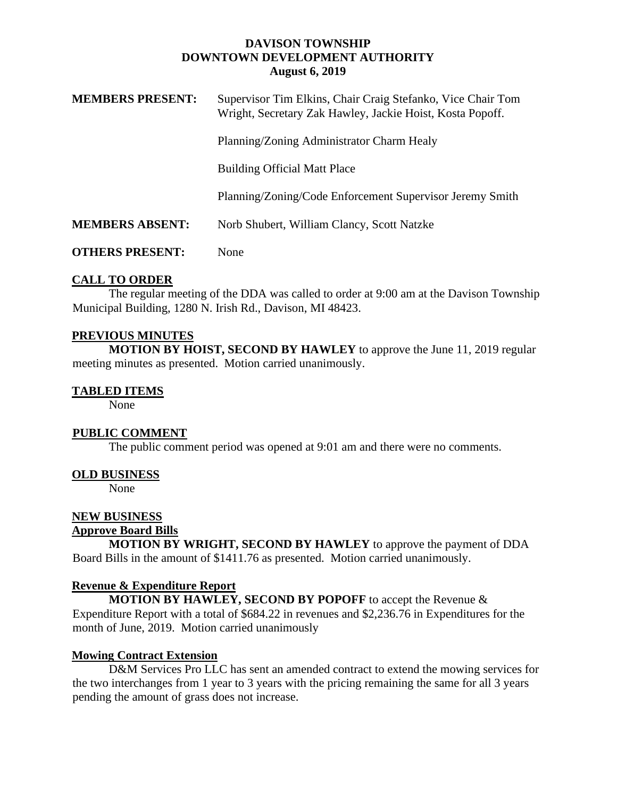### **DAVISON TOWNSHIP DOWNTOWN DEVELOPMENT AUTHORITY August 6, 2019**

| <b>MEMBERS PRESENT:</b> | Supervisor Tim Elkins, Chair Craig Stefanko, Vice Chair Tom<br>Wright, Secretary Zak Hawley, Jackie Hoist, Kosta Popoff. |
|-------------------------|--------------------------------------------------------------------------------------------------------------------------|
|                         | Planning/Zoning Administrator Charm Healy                                                                                |
|                         | <b>Building Official Matt Place</b>                                                                                      |
|                         | Planning/Zoning/Code Enforcement Supervisor Jeremy Smith                                                                 |
| <b>MEMBERS ABSENT:</b>  | Norb Shubert, William Clancy, Scott Natzke                                                                               |
| <b>OTHERS PRESENT:</b>  | None                                                                                                                     |

# **CALL TO ORDER**

The regular meeting of the DDA was called to order at 9:00 am at the Davison Township Municipal Building, 1280 N. Irish Rd., Davison, MI 48423.

# **PREVIOUS MINUTES**

**MOTION BY HOIST, SECOND BY HAWLEY** to approve the June 11, 2019 regular meeting minutes as presented. Motion carried unanimously.

### **TABLED ITEMS**

None

### **PUBLIC COMMENT**

The public comment period was opened at 9:01 am and there were no comments.

### **OLD BUSINESS**

None

# **NEW BUSINESS**

#### **Approve Board Bills**

**MOTION BY WRIGHT, SECOND BY HAWLEY** to approve the payment of DDA Board Bills in the amount of \$1411.76 as presented. Motion carried unanimously.

### **Revenue & Expenditure Report**

**MOTION BY HAWLEY, SECOND BY POPOFF** to accept the Revenue & Expenditure Report with a total of \$684.22 in revenues and \$2,236.76 in Expenditures for the month of June, 2019. Motion carried unanimously

### **Mowing Contract Extension**

D&M Services Pro LLC has sent an amended contract to extend the mowing services for the two interchanges from 1 year to 3 years with the pricing remaining the same for all 3 years pending the amount of grass does not increase.